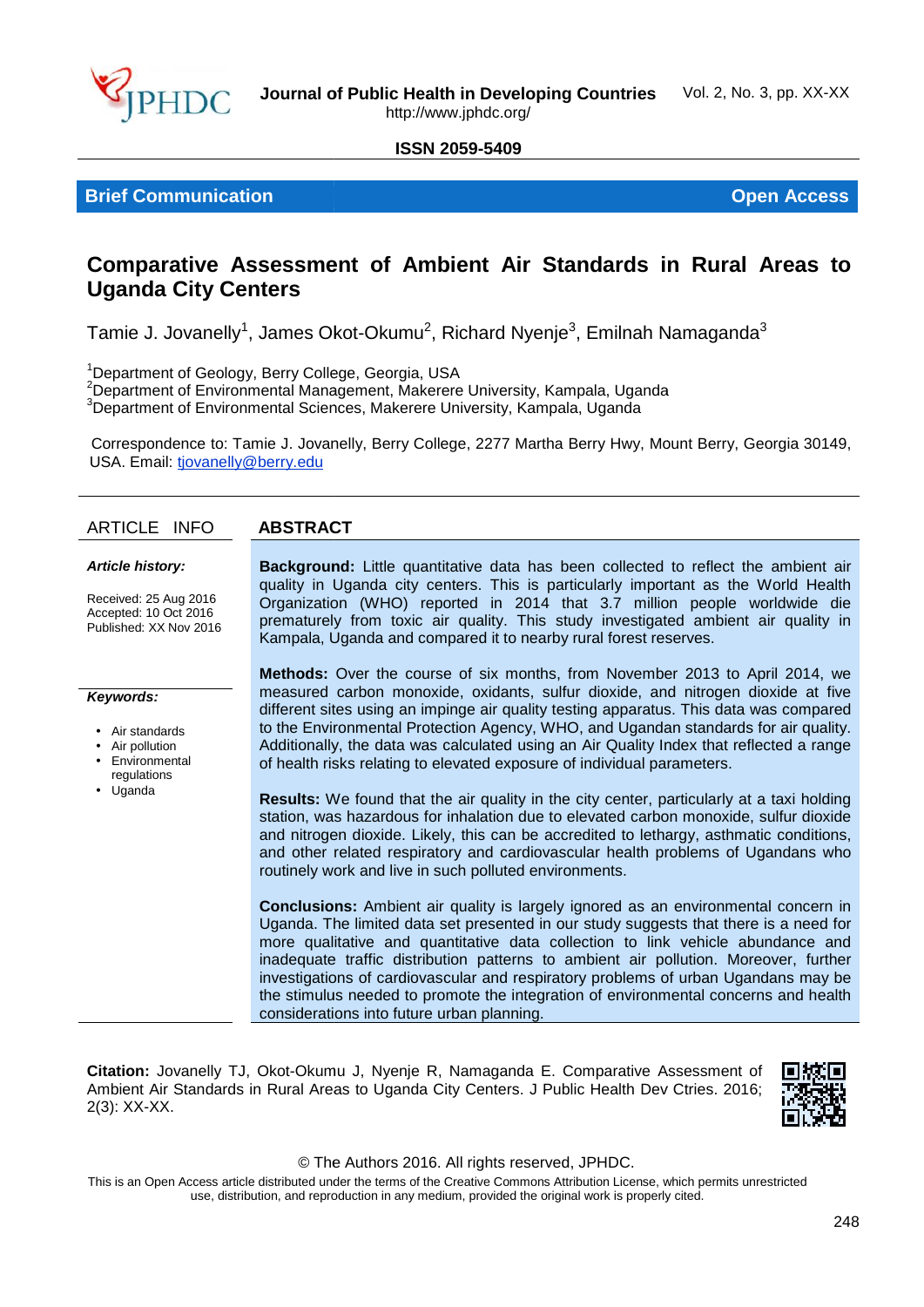

#### **ISSN 2059-5409**

**Brief Communication Open Access Brief Access**

## Comparative Assessment of Ambient Air Standards in Rural Areas to<br>Uganda City Centers **Uganda City Centers**

Tamie J. Jovanelly $^1$ , James Okot-Okumu $^2$ , Richard Nyenje $^3$ , Emilnah Namaganda $^3$ 

<sup>1</sup>Department of Geology, Berry College, Georgia, USA

<sup>2</sup>Department of Environmental Management, Makerere University, Kampala, Uganda  $^3$ Department of Environmental Sciences, Makerere University, Kampala, Uganda

Correspondence to: Tamie J. Jovanelly, Berry College, 2277 Martha Berry Hwy, Mount Berry, Georgia 30149, USA. Email: <u>tjovanelly@berry.edu</u> Department of Geology, Berry College, Georgia, USA<br>'Department of Environmental Management, Makerere University, Kampala, Uganda<br>'Department of Environmental Sciences, Makerere University, Kampala, Uganda<br>Correspondence to

#### **ARTICLE INFO ABSTRACT**

#### *Article history:*

Received: 25 Aug 2016 Accepted: 10 Oct 2016 Accepted: 10 Oct 2016<br>Published: XX Nov 2016

**Background:** Little quantitative data has been collected to reflect the ambient air **Background:** Little quantitative data has been collected to reflect the ambient air<br>quality in Uganda city centers. This is particularly important as the World Health Organization (WHO) reported in 2014 that 3.7 million people worldwide die prematurely from toxic air quality. This study investigated ambient air quality in Kampala, Uganda and compared it to nearby rural forest reserves.

#### *Keywords:*

- Air standards
- Air pollution
- Environmental regulations
- Uganda

**Methods:** Over the course of six months, from November 2013 to April 2014, we measured carbon monoxide, oxidants, sulfur dioxide, and nitrogen dioxide at five different sites using an impinge air quality testing apparatus. This data was compared to the Environmental Protection Agency, WHO, and Ugandan standards for air quality. Additionally, the data was calculated using an Air Quality Index that reflected a range of health risks relating to elevated exposure of individual parameters. Organization (WHO) reported in 2014 that 3.7 million people worldwide die<br>prematurely from toxic air quality. This study investigated ambient air quality in<br>Kampala, Uganda and compared it to nearby rural forest reserves.<br>

**Results:** We found that the air quality in the city center, particularly at a taxi holding station, was hazardous for inhalation due to elevated carbon monoxide, sulfur dioxide and nitrogen dioxide. Likely, this can be accredited to lethargy, asthmatic conditions, and other related respiratory and cardiovascular health problems of Ugandans who routinely work and live in such polluted environments.

**Conclusions:** Ambient air quality is largely ignored as an environmental concern in Uganda. The limited data set presented in our study suggests that there is a need for more qualitative and quantitative data collection to link vehicle abundance and inadequate traffic distribution patterns to ambient air pollution. Moreover, further investigations of cardiovascular and respiratory problems of urban Ugandans may be the stimulus needed to promote the integration of environmental concerns and health considerations into future urban planning. Festalts: We found that the air quality in the city center, particularly at a taxi holding<br>station, was hazardous for inhalation due to elevated carbon monoxide, sulfur dioxide<br>and nitrogen dioxide. Likely, this can be ac measured carbon monoxide, oxidants, sulfur dioxide, and nitrogen dioxide at five<br>different sites using an impinge air quality testing apparatus. This data was compared<br>to the Environmental Protection Agency, WHO, and Ugan

**Citation:** Jovanelly TJ, Okot-Okumu J, Nyenje R, Namaganda E. Comparative Assessment of Ambient Air Standards in Rural Areas to Uganda City Centers. J Public Health Dev Ctries. 2016; 2(3): XX-XX.



#### © The Authors 2016. All rights reserved, JPHDC.

This is an Open Access article distributed under the terms of the Creative Commons Attribution License, which permits unrestricted use, distribution, and reproduction in any medium, provided the original work is properly cited.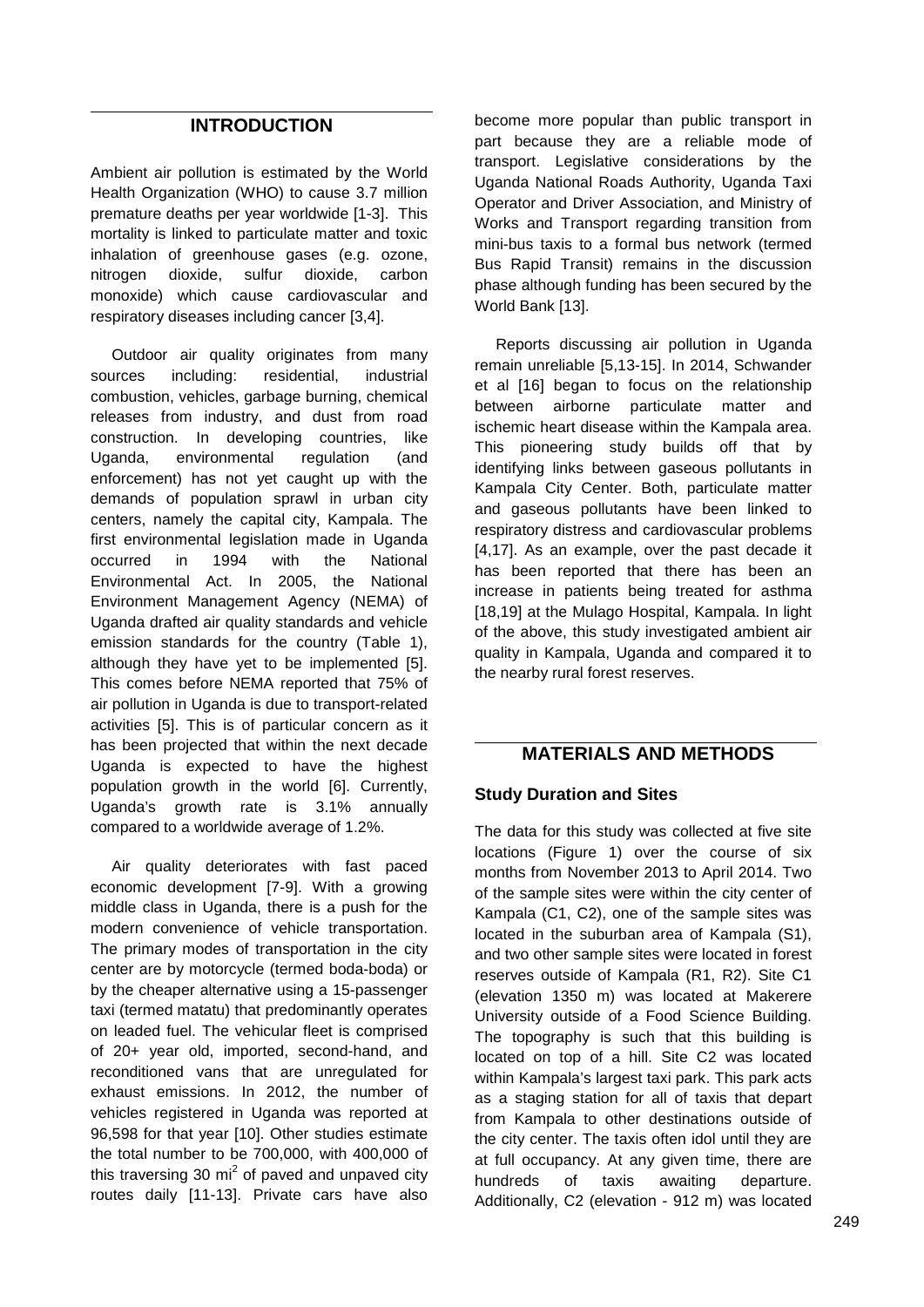### **INTRODUCTION**

Ambient air pollution is estimated by the World Health Organization (WHO) to cause 3.7 million premature deaths per year worldwide [1-3]. This mortality is linked to particulate matter and toxic inhalation of greenhouse gases (e.g. ozone, nitrogen dioxide, sulfur dioxide, carbon monoxide) which cause cardiovascular and respiratory diseases including cancer [3,4].

Outdoor air quality originates from many sources including: residential, industrial combustion, vehicles, garbage burning, chemical releases from industry, and dust from road construction. In developing countries, like Uganda, environmental regulation (and enforcement) has not yet caught up with the demands of population sprawl in urban city centers, namely the capital city, Kampala. The first environmental legislation made in Uganda occurred in 1994 with the National Environmental Act. In 2005, the National Environment Management Agency (NEMA) of Uganda drafted air quality standards and vehicle emission standards for the country (Table 1), although they have yet to be implemented [5]. This comes before NEMA reported that 75% of air pollution in Uganda is due to transport-related activities [5]. This is of particular concern as it has been projected that within the next decade Uganda is expected to have the highest population growth in the world [6]. Currently, Uganda's growth rate is 3.1% annually compared to a worldwide average of 1.2%.

Air quality deteriorates with fast paced economic development [7-9]. With a growing middle class in Uganda, there is a push for the modern convenience of vehicle transportation. The primary modes of transportation in the city center are by motorcycle (termed boda-boda) or by the cheaper alternative using a 15-passenger taxi (termed matatu) that predominantly operates on leaded fuel. The vehicular fleet is comprised of 20+ year old, imported, second-hand, and reconditioned vans that are unregulated for exhaust emissions. In 2012, the number of vehicles registered in Uganda was reported at 96,598 for that year [10]. Other studies estimate the total number to be 700,000, with 400,000 of this traversing 30 mi<sup>2</sup> of paved and unpaved city  $h$  hundreds routes daily [11-13]. Private cars have also

become more popular than public transport in part because they are a reliable mode of transport. Legislative considerations by the Uganda National Roads Authority, Uganda Taxi Operator and Driver Association, and Ministry of Works and Transport regarding transition from mini-bus taxis to a formal bus network (termed Bus Rapid Transit) remains in the discussion phase although funding has been secured by the World Bank [13].

Reports discussing air pollution in Uganda remain unreliable [5,13-15]. In 2014, Schwander et al [16] began to focus on the relationship between airborne particulate matter and ischemic heart disease within the Kampala area. This pioneering study builds off that by identifying links between gaseous pollutants in Kampala City Center. Both, particulate matter and gaseous pollutants have been linked to respiratory distress and cardiovascular problems [4,17]. As an example, over the past decade it has been reported that there has been an increase in patients being treated for asthma [18,19] at the Mulago Hospital, Kampala. In light of the above, this study investigated ambient air quality in Kampala, Uganda and compared it to the nearby rural forest reserves.

### **MATERIALS AND METHODS**

### **Study Duration and Sites**

The data for this study was collected at five site locations (Figure 1) over the course of six months from November 2013 to April 2014. Two of the sample sites were within the city center of Kampala (C1, C2), one of the sample sites was located in the suburban area of Kampala (S1), and two other sample sites were located in forest reserves outside of Kampala (R1, R2). Site C1 (elevation 1350 m) was located at Makerere University outside of a Food Science Building. The topography is such that this building is located on top of a hill. Site C2 was located within Kampala's largest taxi park. This park acts as a staging station for all of taxis that depart from Kampala to other destinations outside of the city center. The taxis often idol until they are at full occupancy. At any given time, there are of taxis awaiting departure. Additionally, C2 (elevation - 912 m) was located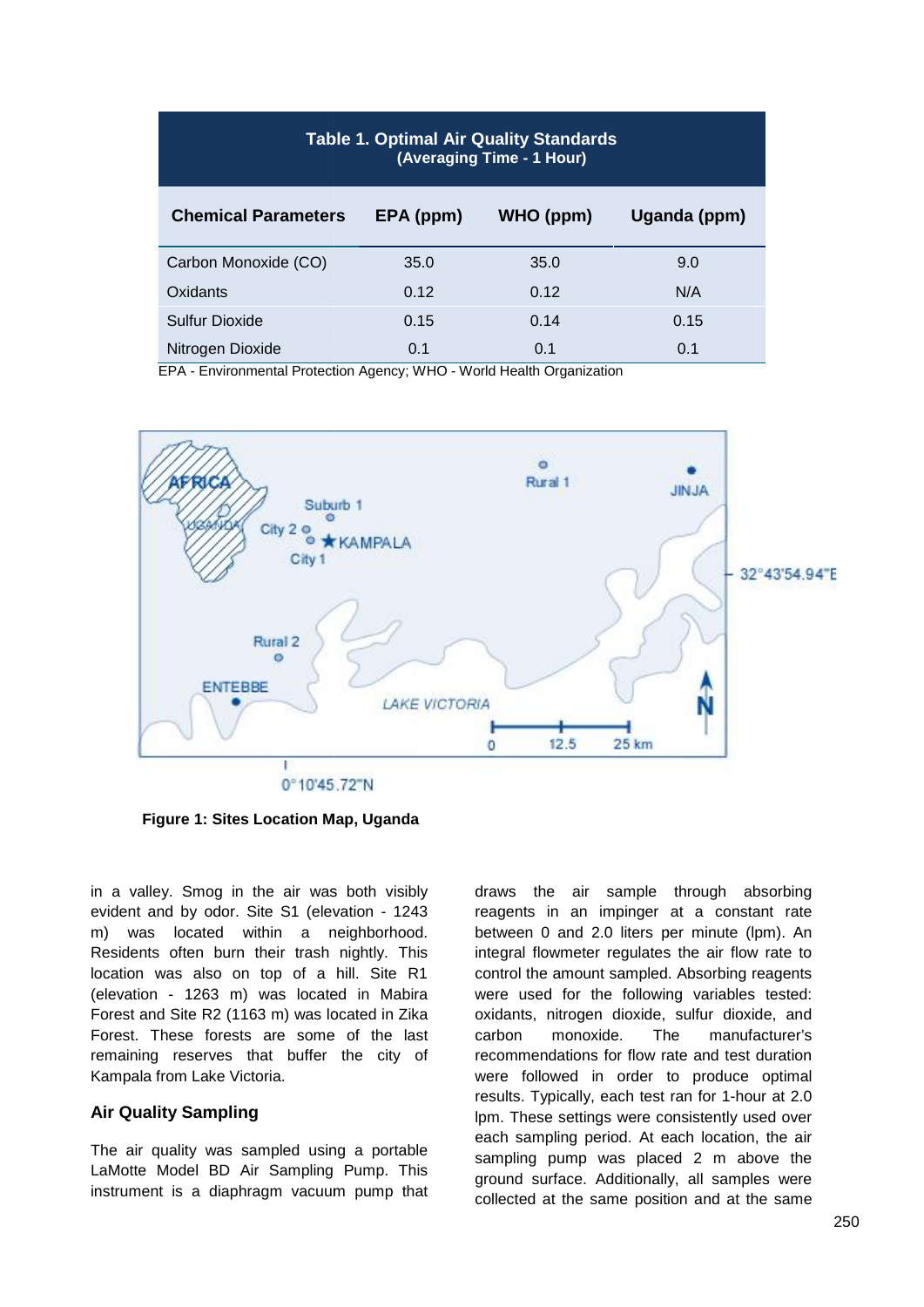| <b>Table 1. Optimal Air Quality Standards</b><br>(Averaging Time - 1 Hour) |           |           |              |  |  |  |
|----------------------------------------------------------------------------|-----------|-----------|--------------|--|--|--|
| <b>Chemical Parameters</b>                                                 | EPA (ppm) | WHO (ppm) | Uganda (ppm) |  |  |  |
| Carbon Monoxide (CO)                                                       | 35.0      | 35.0      | 9.0          |  |  |  |
| Oxidants                                                                   | 0.12      | 0.12      | N/A          |  |  |  |
| Sulfur Dioxide                                                             | 0.15      | 0.14      | 0.15         |  |  |  |
| Nitrogen Dioxide                                                           | 0.1       | 0.1       | 0.1          |  |  |  |

EPA - Environmental Protection Agency; WHO - World Health Organization



**Figure 1: Sites Location Map, Uganda Map, Uganda**

in a valley. Smog in the air was both visibly evident and by odor. Site S1 (elevation - 1243 m) was located within a neighborhood. Residents often burn their trash nightly. This location was also on top of a hill. Site R1 (elevation - 1263 m) was located in Mabira Forest and Site R2 (1163 m) was located in Zika Forest. These forests are some of the last remaining reserves that buffer the city of Kampala from Lake Victoria. in a valley. Smog in the air was both visibly<br>evident and by odor. Site S1 (elevation - 1243<br>m) was located within a neighborhood.<br>Residents often burn their trash nightly. This<br>location was also on top of a hill. Site R1<br>

#### **Air Quality Sampling Air**

The air quality was sampled using a portable LaMotte Model BD Air Sampling Pump. This instrument is a diaphragm vacuum pump that

draws the air sample through absorbing reagents in an impinger at a constant rate between 0 and 2.0 liters per minute (lpm). An integral flowmeter regulates the air flow rate to control the amount sampled. Absorbing reagents were used for the following variables tested: oxidants, nitrogen dioxide, sulfur dioxide, and carbon monoxide. The manufacturer's recommendations for flow rate and test duration were followed in order to produce optimal results. Typically, each test ran for 1-hour at 2.0 oxidants, nitrogen dioxide, sulfur dioxide, and<br>carbon monoxide. The manufacturer's<br>recommendations for flow rate and test duration<br>were followed in order to produce optimal<br>results. Typically, each test ran for 1-hour at each sampling period. At each location, the air sampling pump was placed 2 m above the ground surface. Additionally, all samples were collected at the same position and at the same The air sample districts and by dottoom in a valley. Smog in the air was both visibly draws the air sample through absorbing the Smogent in an impinger at a constant rate with a neighborhood. Between 0 and 2.0 liters per 33 m) was located in Mabira were used for the following variables tested:<br>
33 m) was located in Zika coxidants, nitrogen dioxide, sulfur dioxide, and<br>
52 (1163 m) was located in Zika carbon monoxide. The manufacturer's<br>
16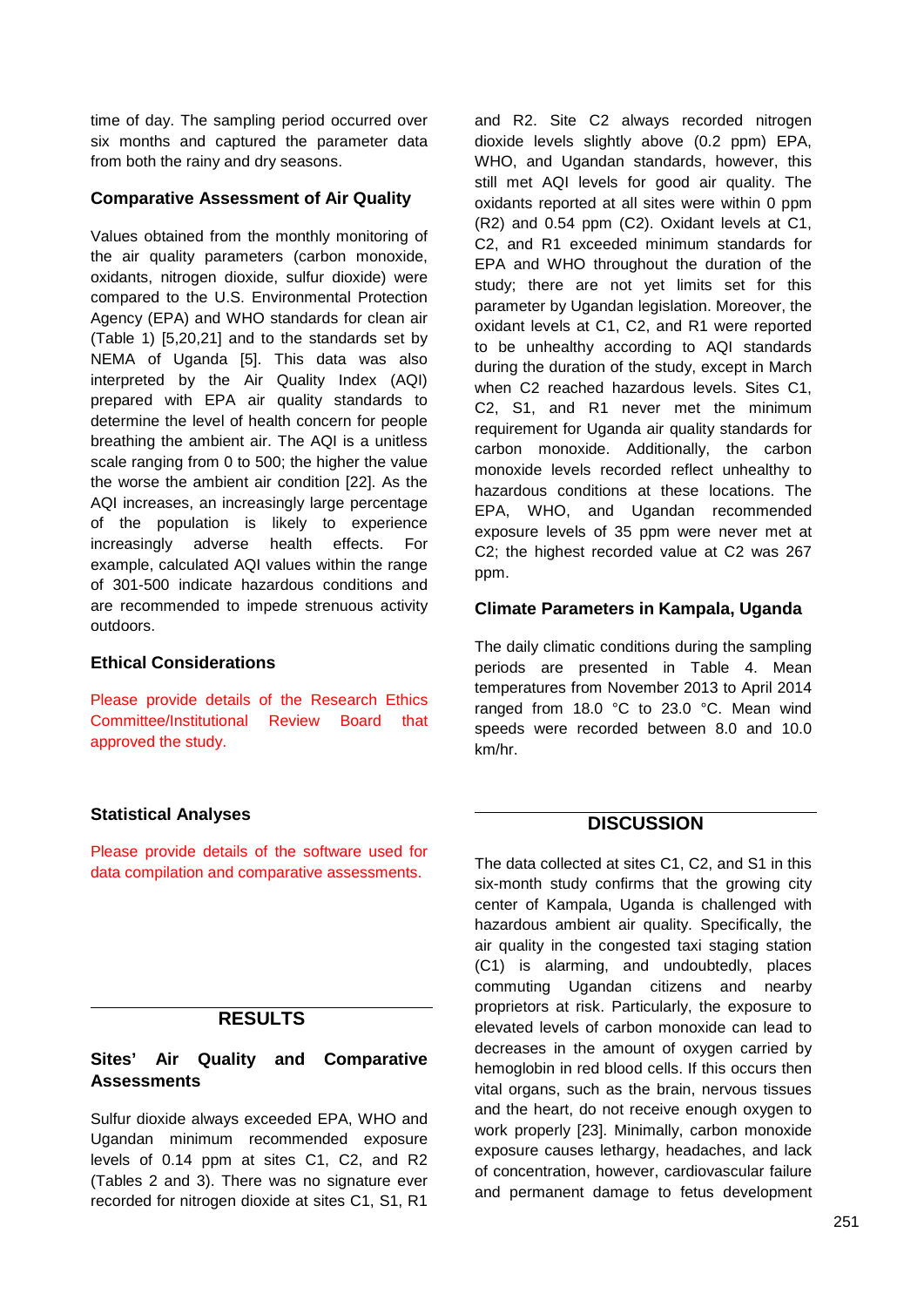time of day. The sampling period occurred over six months and captured the parameter data from both the rainy and dry seasons.

#### **Comparative Assessment of Air Quality**

Values obtained from the monthly monitoring of the air quality parameters (carbon monoxide, oxidants, nitrogen dioxide, sulfur dioxide) were compared to the U.S. Environmental Protection Agency (EPA) and WHO standards for clean air (Table 1) [5,20,21] and to the standards set by NEMA of Uganda [5]. This data was also interpreted by the Air Quality Index (AQI) prepared with EPA air quality standards to determine the level of health concern for people breathing the ambient air. The AQI is a unitless scale ranging from 0 to 500; the higher the value the worse the ambient air condition [22]. As the AQI increases, an increasingly large percentage of the population is likely to experience increasingly adverse health effects. For example, calculated AQI values within the range of 301-500 indicate hazardous conditions and are recommended to impede strenuous activity outdoors.

#### **Ethical Considerations**

Please provide details of the Research Ethics Committee/Institutional Review Board that approved the study.

#### **Statistical Analyses**

Please provide details of the software used for data compilation and comparative assessments.

### **RESULTS**

### **Sites' Air Quality and Comparative Assessments**

Sulfur dioxide always exceeded EPA, WHO and Ugandan minimum recommended exposure levels of 0.14 ppm at sites C1, C2, and R2 (Tables 2 and 3). There was no signature ever recorded for nitrogen dioxide at sites C1, S1, R1

and R2. Site C2 always recorded nitrogen dioxide levels slightly above (0.2 ppm) EPA, WHO, and Ugandan standards, however, this still met AQI levels for good air quality. The oxidants reported at all sites were within 0 ppm (R2) and 0.54 ppm (C2). Oxidant levels at C1, C2, and R1 exceeded minimum standards for EPA and WHO throughout the duration of the study; there are not yet limits set for this parameter by Ugandan legislation. Moreover, the oxidant levels at C1, C2, and R1 were reported to be unhealthy according to AQI standards during the duration of the study, except in March when C<sub>2</sub> reached hazardous levels. Sites C<sub>1</sub>. C2, S1, and R1 never met the minimum requirement for Uganda air quality standards for carbon monoxide. Additionally, the carbon monoxide levels recorded reflect unhealthy to hazardous conditions at these locations. The EPA, WHO, and Ugandan recommended exposure levels of 35 ppm were never met at C2; the highest recorded value at C2 was 267 ppm.

#### **Climate Parameters in Kampala, Uganda**

The daily climatic conditions during the sampling periods are presented in Table 4. Mean temperatures from November 2013 to April 2014 ranged from 18.0 °C to 23.0 °C. Mean wind speeds were recorded between 8.0 and 10.0 km/hr.

### **DISCUSSION**

The data collected at sites C1, C2, and S1 in this six-month study confirms that the growing city center of Kampala, Uganda is challenged with hazardous ambient air quality. Specifically, the air quality in the congested taxi staging station (C1) is alarming, and undoubtedly, places commuting Ugandan citizens and nearby proprietors at risk. Particularly, the exposure to elevated levels of carbon monoxide can lead to decreases in the amount of oxygen carried by hemoglobin in red blood cells. If this occurs then vital organs, such as the brain, nervous tissues and the heart, do not receive enough oxygen to work properly [23]. Minimally, carbon monoxide exposure causes lethargy, headaches, and lack of concentration, however, cardiovascular failure and permanent damage to fetus development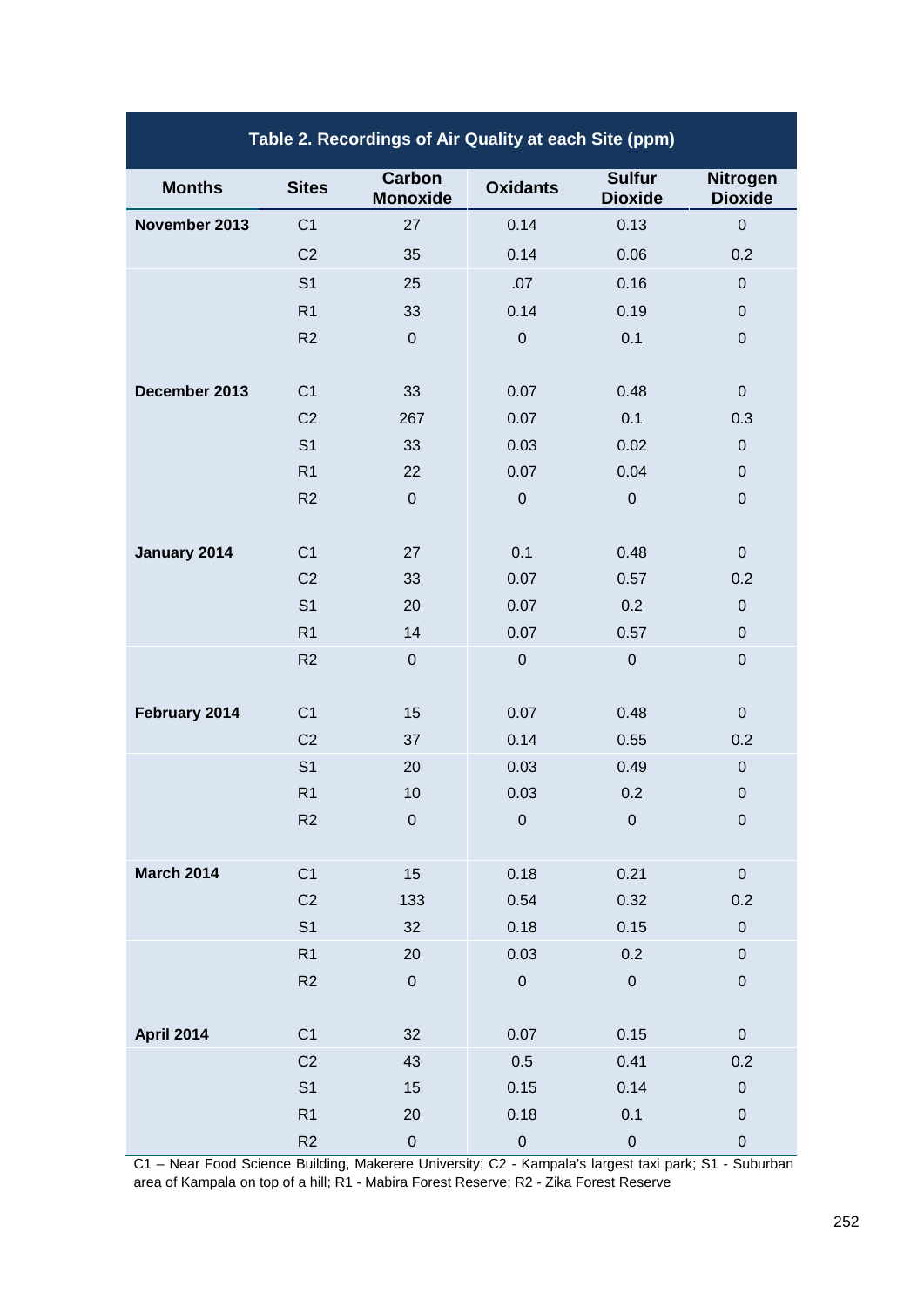| Table 2. Recordings of Air Quality at each Site (ppm) |                |                           |                 |                                 |                            |  |
|-------------------------------------------------------|----------------|---------------------------|-----------------|---------------------------------|----------------------------|--|
| <b>Months</b>                                         | <b>Sites</b>   | Carbon<br><b>Monoxide</b> | <b>Oxidants</b> | <b>Sulfur</b><br><b>Dioxide</b> | Nitrogen<br><b>Dioxide</b> |  |
| November 2013                                         | C <sub>1</sub> | 27                        | 0.14            | 0.13                            | $\pmb{0}$                  |  |
|                                                       | C <sub>2</sub> | 35                        | 0.14            | 0.06                            | 0.2                        |  |
|                                                       | S <sub>1</sub> | 25                        | .07             | 0.16                            | $\pmb{0}$                  |  |
|                                                       | R1             | 33                        | 0.14            | 0.19                            | $\pmb{0}$                  |  |
|                                                       | R2             | $\pmb{0}$                 | $\pmb{0}$       | 0.1                             | $\pmb{0}$                  |  |
| December 2013                                         | C <sub>1</sub> | 33                        | 0.07            | 0.48                            | $\pmb{0}$                  |  |
|                                                       | C <sub>2</sub> | 267                       | 0.07            | 0.1                             | 0.3                        |  |
|                                                       | S <sub>1</sub> | 33                        | 0.03            | 0.02                            | $\mathbf 0$                |  |
|                                                       | R <sub>1</sub> | 22                        | 0.07            | 0.04                            | $\pmb{0}$                  |  |
|                                                       | R <sub>2</sub> | $\boldsymbol{0}$          | $\mathbf 0$     | $\pmb{0}$                       | $\pmb{0}$                  |  |
| January 2014                                          | C <sub>1</sub> | 27                        | 0.1             | 0.48                            | $\pmb{0}$                  |  |
|                                                       | C <sub>2</sub> | 33                        | 0.07            | 0.57                            | 0.2                        |  |
|                                                       | S <sub>1</sub> | 20                        | 0.07            | 0.2                             | $\pmb{0}$                  |  |
|                                                       | R1             | 14                        | 0.07            | 0.57                            | $\mathbf 0$                |  |
|                                                       | R <sub>2</sub> | $\pmb{0}$                 | $\mathbf 0$     | $\mathbf 0$                     | $\boldsymbol{0}$           |  |
| February 2014                                         | C <sub>1</sub> | 15                        | 0.07            | 0.48                            | $\pmb{0}$                  |  |
|                                                       | C <sub>2</sub> | 37                        | 0.14            | 0.55                            | 0.2                        |  |
|                                                       | S <sub>1</sub> | 20                        | 0.03            | 0.49                            | $\pmb{0}$                  |  |
|                                                       | R <sub>1</sub> | 10                        | 0.03            | 0.2                             | $\boldsymbol{0}$           |  |
|                                                       | R <sub>2</sub> | $\boldsymbol{0}$          | 0               | $\boldsymbol{0}$                | $\boldsymbol{0}$           |  |
| <b>March 2014</b>                                     | C <sub>1</sub> | 15                        | 0.18            | 0.21                            | $\pmb{0}$                  |  |
|                                                       | C <sub>2</sub> | 133                       | 0.54            | 0.32                            | 0.2                        |  |
|                                                       | S <sub>1</sub> | 32                        | 0.18            | 0.15                            | $\pmb{0}$                  |  |
|                                                       | R1             | 20                        | 0.03            | 0.2                             | $\pmb{0}$                  |  |
|                                                       | R2             | $\pmb{0}$                 | $\mathbf 0$     | ${\bf 0}$                       | $\pmb{0}$                  |  |
| <b>April 2014</b>                                     | C <sub>1</sub> | 32                        | 0.07            | 0.15                            | $\pmb{0}$                  |  |
|                                                       | C <sub>2</sub> | 43                        | 0.5             | 0.41                            | 0.2                        |  |
|                                                       | S <sub>1</sub> | 15                        | 0.15            | 0.14                            | $\pmb{0}$                  |  |
|                                                       | R1             | 20                        | 0.18            | 0.1                             | $\pmb{0}$                  |  |
|                                                       | R2             | $\pmb{0}$                 | $\pmb{0}$       | $\pmb{0}$                       | $\pmb{0}$                  |  |

C1 – Near Food Science Building, Makerere University; C2 - Kampala's largest taxi park; S1 - Suburban area of Kampala on top of a hill; R1 - Mabira Forest Reserve; R2 - Zika Forest Reserve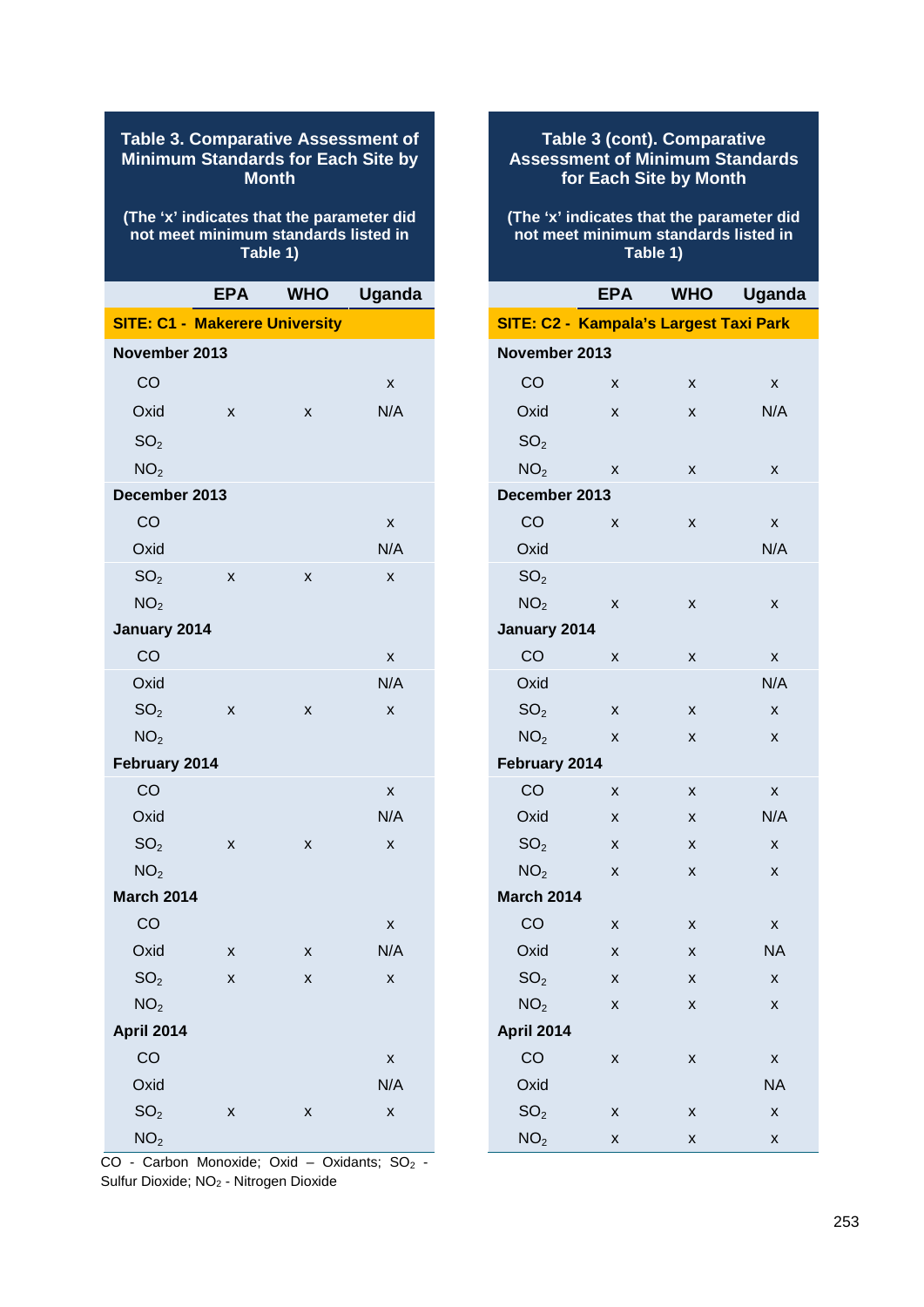| <b>Table 3. Comparative Assessment of</b><br>Minimum Standards for Each Site by<br><b>Month</b> |                                       |   |     |  |  |  |  |
|-------------------------------------------------------------------------------------------------|---------------------------------------|---|-----|--|--|--|--|
| (The 'x' indicates that the parameter did<br>not meet minimum standards listed in<br>Table 1)   |                                       |   |     |  |  |  |  |
| <b>Uganda</b><br><b>EPA</b><br><b>WHO</b>                                                       |                                       |   |     |  |  |  |  |
|                                                                                                 | <b>SITE: C1 - Makerere University</b> |   |     |  |  |  |  |
| November 2013                                                                                   |                                       |   |     |  |  |  |  |
| CO                                                                                              |                                       |   | X   |  |  |  |  |
| Oxid                                                                                            | X                                     | X | N/A |  |  |  |  |
| SO <sub>2</sub>                                                                                 |                                       |   |     |  |  |  |  |
| NO <sub>2</sub>                                                                                 |                                       |   |     |  |  |  |  |
| December 2013                                                                                   |                                       |   |     |  |  |  |  |
| CO                                                                                              |                                       |   | X   |  |  |  |  |
| Oxid                                                                                            |                                       |   | N/A |  |  |  |  |
| SO <sub>2</sub>                                                                                 | X                                     | x | X   |  |  |  |  |
| NO <sub>2</sub>                                                                                 |                                       |   |     |  |  |  |  |
| January 2014                                                                                    |                                       |   |     |  |  |  |  |
| CO                                                                                              |                                       |   | X   |  |  |  |  |
| Oxid                                                                                            |                                       |   | N/A |  |  |  |  |
| SO <sub>2</sub>                                                                                 | X                                     | X | X   |  |  |  |  |
| NO <sub>2</sub>                                                                                 |                                       |   |     |  |  |  |  |
| February 2014                                                                                   |                                       |   |     |  |  |  |  |
| CO                                                                                              |                                       |   | X   |  |  |  |  |
| Oxid                                                                                            |                                       |   | N/A |  |  |  |  |
| SO <sub>2</sub>                                                                                 | x                                     | x | x   |  |  |  |  |
| NO <sub>2</sub>                                                                                 |                                       |   |     |  |  |  |  |
| <b>March 2014</b>                                                                               |                                       |   |     |  |  |  |  |
| CO                                                                                              |                                       |   | X   |  |  |  |  |
| Oxid                                                                                            | x                                     | X | N/A |  |  |  |  |
| SO <sub>2</sub>                                                                                 | x                                     | x | X   |  |  |  |  |
| NO <sub>2</sub>                                                                                 |                                       |   |     |  |  |  |  |
| April 2014                                                                                      |                                       |   |     |  |  |  |  |
| CO                                                                                              |                                       |   | X   |  |  |  |  |
| Oxid                                                                                            |                                       |   | N/A |  |  |  |  |
| SO <sub>2</sub>                                                                                 | x                                     | x | Χ   |  |  |  |  |
| NO <sub>2</sub>                                                                                 |                                       |   |     |  |  |  |  |

 $CO -$  Carbon Monoxide; Oxid – Oxidants;  $SO<sub>2</sub>$  -Sulfur Dioxide; NO<sup>2</sup> - Nitrogen Dioxide

# **Table 3 (cont). Comparative Assessment of Minimum Standards for Each Site by Month (The 'x' indicates that the parameter did not meet minimum standards listed in Table 1) EPA WHO Uganda SITE: C2 - Kampala's Largest Taxi Park November 2013** CO x x x Oxid x x N/A  $SO<sub>2</sub>$  $NO<sub>2</sub>$  x x x **December 2013** CO x x x Oxid N/A N/A  $SO<sub>2</sub>$  $NO<sub>2</sub>$  x x x **January 2014** CO x x x Oxid N/A N/A  $SO_2$  x x x  $NO_2$  x x x

| $IVQ_2$           | $\lambda$ | $\lambda$ | $\lambda$          |  |
|-------------------|-----------|-----------|--------------------|--|
| February 2014     |           |           |                    |  |
| CO                | X         | X         | X                  |  |
| Oxid              | X         | X         | N/A                |  |
| SO <sub>2</sub>   | X         | X         | X                  |  |
| NO <sub>2</sub>   | X         | X         | X                  |  |
| <b>March 2014</b> |           |           |                    |  |
| CO                | X         | x         | $\pmb{\mathsf{X}}$ |  |
| Oxid              | X         | X         | <b>NA</b>          |  |
| SO <sub>2</sub>   | X         | X         | X                  |  |
| NO <sub>2</sub>   | X         | Χ         | X                  |  |
| April 2014        |           |           |                    |  |
| CO                | X         | X         | X                  |  |
| Oxid              |           |           | <b>NA</b>          |  |
| SO <sub>2</sub>   | x         | x         | X                  |  |
| NO <sub>2</sub>   | x         | Χ         | X                  |  |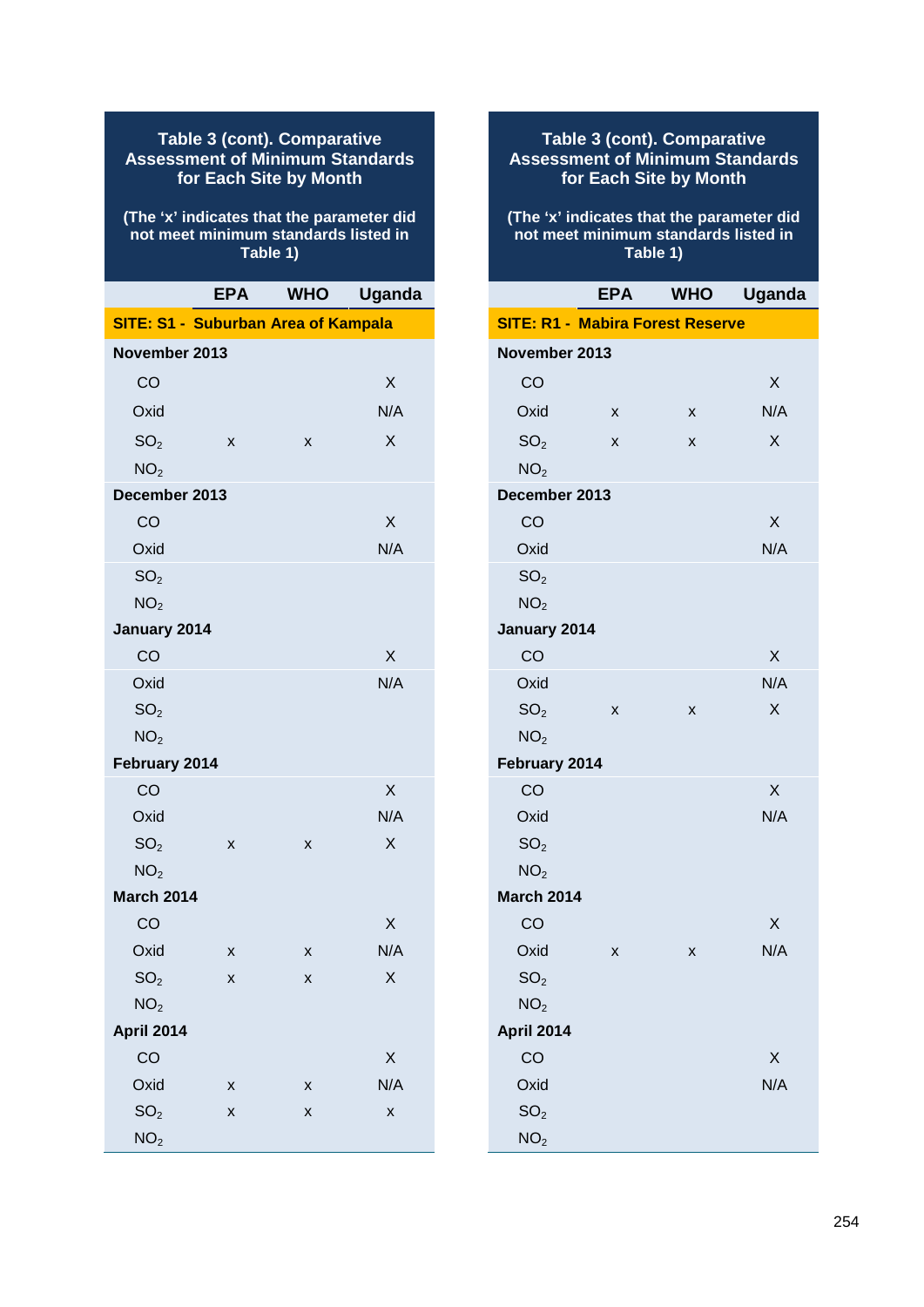#### **Table 3 (cont). Comparative Assessment of Minimum Standards for Each Site by Month**

#### **(The 'x' indicates that the parameter did not meet minimum standards listed in Table 1)**

|                                            | <b>EPA</b> | <b>WHO</b> | <b>Uganda</b> |
|--------------------------------------------|------------|------------|---------------|
| <b>SITE: S1 - Suburban Area of Kampala</b> |            |            |               |
| November 2013                              |            |            |               |
| CO                                         |            |            | X             |
| Oxid                                       |            |            | N/A           |
| SO <sub>2</sub>                            | Χ          | X          | X             |
| NO <sub>2</sub>                            |            |            |               |
| December 2013                              |            |            |               |
| CO                                         |            |            | X             |
| Oxid                                       |            |            | N/A           |
| SO <sub>2</sub>                            |            |            |               |
| NO <sub>2</sub>                            |            |            |               |
| January 2014                               |            |            |               |
| CO                                         |            |            | X             |
| Oxid                                       |            |            | N/A           |
| SO <sub>2</sub>                            |            |            |               |
| NO <sub>2</sub>                            |            |            |               |
| February 2014                              |            |            |               |
| CO                                         |            |            | X             |
| Oxid                                       |            |            | N/A           |
| SO <sub>2</sub>                            | X          | X          | X             |
| NO <sub>2</sub>                            |            |            |               |
| <b>March 2014</b>                          |            |            |               |
| CO                                         |            |            | Χ             |
| Oxid                                       | Χ          | X          | N/A           |
| SO <sub>2</sub>                            | X          | х          | X             |
| NO <sub>2</sub>                            |            |            |               |
| <b>April 2014</b>                          |            |            |               |
| CO                                         |            |            | X             |
| Oxid                                       | X          | X          | N/A           |
| SO <sub>2</sub>                            | X          | X          | X             |
| NO <sub>2</sub>                            |            |            |               |

### **Table 3 (cont). Comparative Assessment of Minimum Standards for Each Site by Month**

#### **(The 'x' indicates that the parameter did not meet minimum standards listed in Table 1)**

|                                         | <b>EPA</b> | <b>WHO</b> | <b>Uganda</b> |
|-----------------------------------------|------------|------------|---------------|
| <b>SITE: R1 - Mabira Forest Reserve</b> |            |            |               |
| November 2013                           |            |            |               |
| CO                                      |            |            | X             |
| Oxid                                    | X          | x          | N/A           |
| SO <sub>2</sub>                         | X          | x          | X             |
| NO <sub>2</sub>                         |            |            |               |
| December 2013                           |            |            |               |
| CO                                      |            |            | X             |
| Oxid                                    |            |            | N/A           |
| SO <sub>2</sub>                         |            |            |               |
| NO <sub>2</sub>                         |            |            |               |
| January 2014                            |            |            |               |
| CO                                      |            |            | $\sf X$       |
| Oxid                                    |            |            | N/A           |
| SO <sub>2</sub>                         | x          | x          | X             |
| NO <sub>2</sub>                         |            |            |               |
| February 2014                           |            |            |               |
| CO                                      |            |            | X             |
| Oxid                                    |            |            | N/A           |
| SO <sub>2</sub>                         |            |            |               |
| NO <sub>2</sub>                         |            |            |               |
| <b>March 2014</b>                       |            |            |               |
| CO                                      |            |            | X             |
| Oxid                                    | x          | x          | N/A           |
| SO <sub>2</sub>                         |            |            |               |
| NO <sub>2</sub>                         |            |            |               |
| April 2014                              |            |            |               |
| CO                                      |            |            | X             |
| Oxid                                    |            |            | N/A           |
| SO <sub>2</sub>                         |            |            |               |
| NO <sub>2</sub>                         |            |            |               |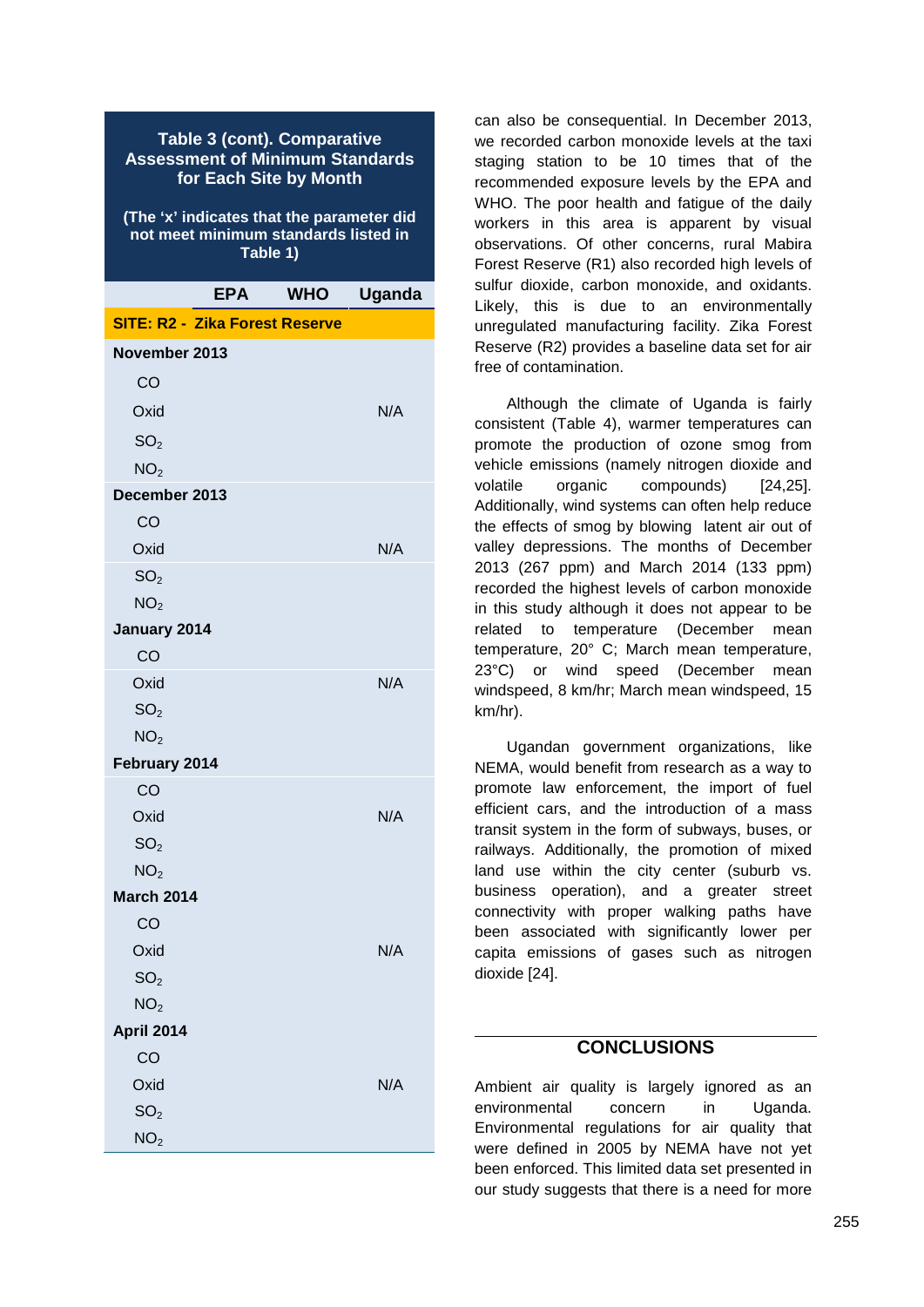|                                       | <b>Table 3 (cont). Comparative</b><br><b>Assessment of Minimum Standards</b><br>for Each Site by Month<br>(The 'x' indicates that the parameter did<br>not meet minimum standards listed in | Table 1)   |        | W٤<br>sta<br>re<br>W<br>wc<br>ob<br>Fc |
|---------------------------------------|---------------------------------------------------------------------------------------------------------------------------------------------------------------------------------------------|------------|--------|----------------------------------------|
|                                       | <b>EPA</b>                                                                                                                                                                                  | <b>WHO</b> | Uganda | su<br>Lil                              |
| <b>SITE: R2 - Zika Forest Reserve</b> |                                                                                                                                                                                             |            |        | un                                     |
| November 2013                         |                                                                                                                                                                                             |            |        | R٤                                     |
| CO                                    |                                                                                                                                                                                             |            |        | fre                                    |
| Oxid                                  |                                                                                                                                                                                             |            |        |                                        |
|                                       |                                                                                                                                                                                             |            | N/A    | co                                     |

 $SO<sub>2</sub>$  $NO<sub>2</sub>$ **December 2013** CO Oxid N/A N  $SO<sub>2</sub>$  $NO<sub>2</sub>$ **January 2014** CO Oxid N/A N/A  $SO<sub>2</sub>$  $NO<sub>2</sub>$ **February 2014** CO Oxid N/A N/A  $SO<sub>2</sub>$  $NO<sub>2</sub>$ **March 2014** CO Oxid N/A (  $SO<sub>2</sub>$  $NO<sub>2</sub>$ **April 2014** CO Oxid N/A N  $SO<sub>2</sub>$  $NO<sub>2</sub>$ 

can also be consequential. In December 2013, we recorded carbon monoxide levels at the taxi staging station to be 10 times that of the recommended exposure levels by the EPA and WHO. The poor health and fatigue of the daily workers in this area is apparent by visual observations. Of other concerns, rural Mabira Forest Reserve (R1) also recorded high levels of sulfur dioxide, carbon monoxide, and oxidants. Likely, this is due to an environmentally unregulated manufacturing facility. Zika Forest Reserve (R2) provides a baseline data set for air free of contamination.

Although the climate of Uganda is fairly consistent (Table 4), warmer temperatures can promote the production of ozone smog from vehicle emissions (namely nitrogen dioxide and volatile organic compounds) [24,25]. Additionally, wind systems can often help reduce the effects of smog by blowing latent air out of valley depressions. The months of December 2013 (267 ppm) and March 2014 (133 ppm) recorded the highest levels of carbon monoxide in this study although it does not appear to be related to temperature (December mean temperature, 20° C; March mean temperature, 23°C) or wind speed (December mean windspeed, 8 km/hr; March mean windspeed, 15 km/hr).

Ugandan government organizations, like NEMA, would benefit from research as a way to promote law enforcement, the import of fuel efficient cars, and the introduction of a mass transit system in the form of subways, buses, or railways. Additionally, the promotion of mixed land use within the city center (suburb vs. business operation), and a greater street connectivity with proper walking paths have been associated with significantly lower per capita emissions of gases such as nitrogen dioxide [24].

### **CONCLUSIONS**

Ambient air quality is largely ignored as an environmental concern in Uganda. Environmental regulations for air quality that were defined in 2005 by NEMA have not yet been enforced. This limited data set presented in our study suggests that there is a need for more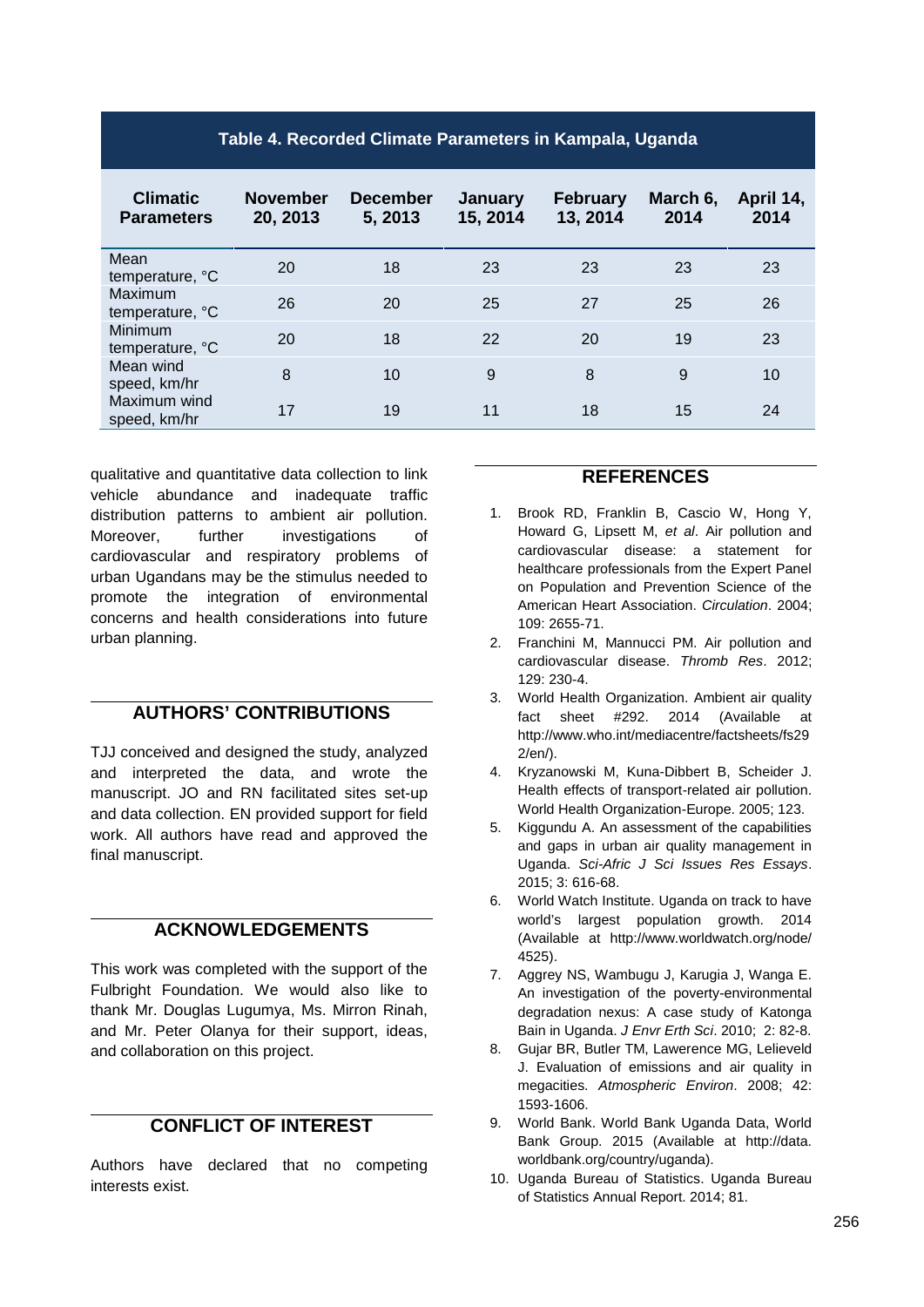| Table 4. Recorded Climate Parameters in Kampala, Uganda |                             |                            |                     |                             |                  |                   |  |
|---------------------------------------------------------|-----------------------------|----------------------------|---------------------|-----------------------------|------------------|-------------------|--|
| <b>Climatic</b><br><b>Parameters</b>                    | <b>November</b><br>20, 2013 | <b>December</b><br>5, 2013 | January<br>15, 2014 | <b>February</b><br>13, 2014 | March 6,<br>2014 | April 14,<br>2014 |  |
| Mean<br>temperature, °C                                 | 20                          | 18                         | 23                  | 23                          | 23               | 23                |  |
| Maximum<br>temperature, °C                              | 26                          | 20                         | 25                  | 27                          | 25               | 26                |  |
| Minimum<br>temperature, °C                              | 20                          | 18                         | 22                  | 20                          | 19               | 23                |  |
| Mean wind<br>speed, km/hr                               | 8                           | 10                         | 9                   | 8                           | 9                | 10                |  |
| Maximum wind<br>speed, km/hr                            | 17                          | 19                         | 11                  | 18                          | 15               | 24                |  |

qualitative and quantitative data collection to link vehicle abundance and inadequate traffic distribution patterns to ambient air pollution. Moreover, further investigations of cardiovascular and respiratory problems of urban Ugandans may be the stimulus needed to promote the integration of environmental concerns and health considerations into future urban planning.

### **AUTHORS' CONTRIBUTIONS**

TJJ conceived and designed the study, analyzed and interpreted the data, and wrote the manuscript. JO and RN facilitated sites set-up and data collection. EN provided support for field work. All authors have read and approved the final manuscript.

## **ACKNOWLEDGEMENTS**

This work was completed with the support of the Fulbright Foundation. We would also like to thank Mr. Douglas Lugumya, Ms. Mirron Rinah, and Mr. Peter Olanya for their support, ideas, and collaboration on this project.

## **CONFLICT OF INTEREST**

Authors have declared that no competing interests exist.

### **REFERENCES**

- 1. Brook RD, Franklin B, Cascio W, Hong Y, Howard G, Lipsett M, *et al*. Air pollution and cardiovascular disease: a statement for healthcare professionals from the Expert Panel on Population and Prevention Science of the American Heart Association. *Circulation*. 2004; 109: 2655-71.
- 2. Franchini M, Mannucci PM. Air pollution and cardiovascular disease. *Thromb Res*. 2012; 129: 230-4.
- 3. World Health Organization. Ambient air quality fact sheet #292. 2014 (Available at http://www.who.int/mediacentre/factsheets/fs29 2/en/).
- 4. Kryzanowski M, Kuna-Dibbert B, Scheider J. Health effects of transport-related air pollution. World Health Organization-Europe. 2005; 123.
- 5. Kiggundu A. An assessment of the capabilities and gaps in urban air quality management in Uganda. *Sci-Afric J Sci Issues Res Essays*. 2015; 3: 616-68.
- 6. World Watch Institute. Uganda on track to have world's largest population growth. 2014 (Available at http://www.worldwatch.org/node/ 4525).
- 7. Aggrey NS, Wambugu J, Karugia J, Wanga E. An investigation of the poverty-environmental degradation nexus: A case study of Katonga Bain in Uganda. *J Envr Erth Sci*. 2010; 2: 82-8.
- 8. Gujar BR, Butler TM, Lawerence MG, Lelieveld J. Evaluation of emissions and air quality in megacities. *Atmospheric Environ*. 2008; 42: 1593-1606.
- 9. World Bank. World Bank Uganda Data, World Bank Group. 2015 (Available at http://data. worldbank.org/country/uganda).
- 10. Uganda Bureau of Statistics. Uganda Bureau of Statistics Annual Report. 2014; 81.